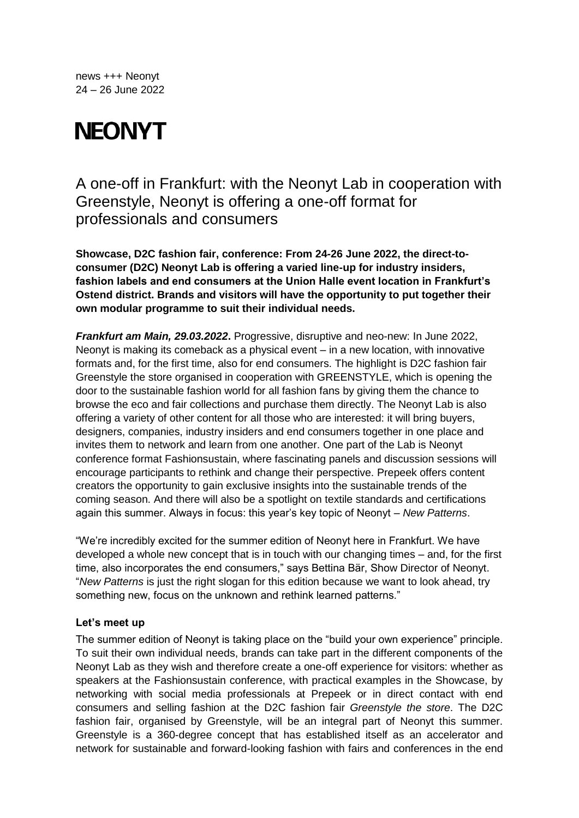news +++ Neonyt 24 – 26 June 2022

# **NEONYT**

A one-off in Frankfurt: with the Neonyt Lab in cooperation with Greenstyle, Neonyt is offering a one-off format for professionals and consumers

**Showcase, D2C fashion fair, conference: From 24-26 June 2022, the direct-toconsumer (D2C) Neonyt Lab is offering a varied line-up for industry insiders, fashion labels and end consumers at the Union Halle event location in Frankfurt's Ostend district. Brands and visitors will have the opportunity to put together their own modular programme to suit their individual needs.** 

*Frankfurt am Main, 29.03.2022***.** Progressive, disruptive and neo-new: In June 2022, Neonyt is making its comeback as a physical event – in a new location, with innovative formats and, for the first time, also for end consumers. The highlight is D2C fashion fair Greenstyle the store organised in cooperation with GREENSTYLE, which is opening the door to the sustainable fashion world for all fashion fans by giving them the chance to browse the eco and fair collections and purchase them directly. The Neonyt Lab is also offering a variety of other content for all those who are interested: it will bring buyers, designers, companies, industry insiders and end consumers together in one place and invites them to network and learn from one another. One part of the Lab is Neonyt conference format Fashionsustain, where fascinating panels and discussion sessions will encourage participants to rethink and change their perspective. Prepeek offers content creators the opportunity to gain exclusive insights into the sustainable trends of the coming season. And there will also be a spotlight on textile standards and certifications again this summer. Always in focus: this year's key topic of Neonyt – *New Patterns*.

"We're incredibly excited for the summer edition of Neonyt here in Frankfurt. We have developed a whole new concept that is in touch with our changing times – and, for the first time, also incorporates the end consumers," says Bettina Bär, Show Director of Neonyt. "*New Patterns* is just the right slogan for this edition because we want to look ahead, try something new, focus on the unknown and rethink learned patterns."

## **Let's meet up**

The summer edition of Neonyt is taking place on the "build your own experience" principle. To suit their own individual needs, brands can take part in the different components of the Neonyt Lab as they wish and therefore create a one-off experience for visitors: whether as speakers at the Fashionsustain conference, with practical examples in the Showcase, by networking with social media professionals at Prepeek or in direct contact with end consumers and selling fashion at the D2C fashion fair *Greenstyle the store*. The D2C fashion fair, organised by Greenstyle, will be an integral part of Neonyt this summer. Greenstyle is a 360-degree concept that has established itself as an accelerator and network for sustainable and forward-looking fashion with fairs and conferences in the end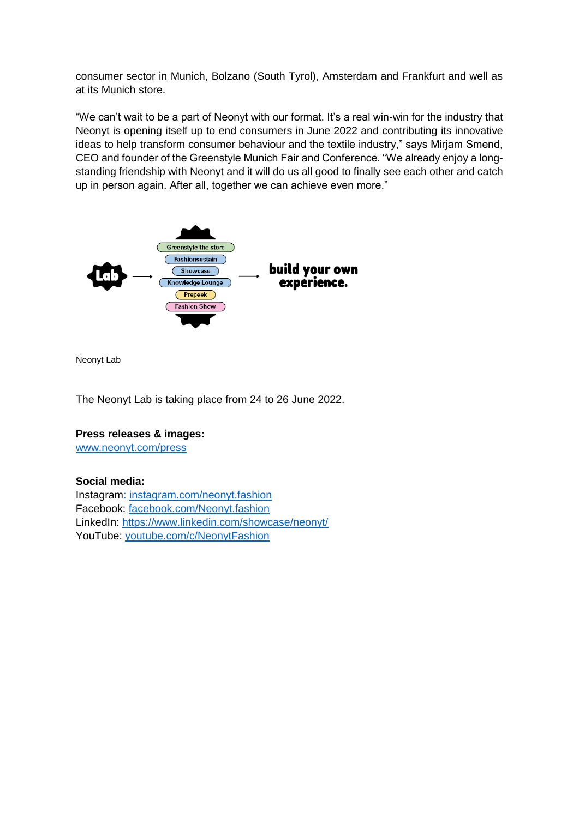consumer sector in Munich, Bolzano (South Tyrol), Amsterdam and Frankfurt and well as at its Munich store.

"We can't wait to be a part of Neonyt with our format. It's a real win-win for the industry that Neonyt is opening itself up to end consumers in June 2022 and contributing its innovative ideas to help transform consumer behaviour and the textile industry," says Mirjam Smend, CEO and founder of the Greenstyle Munich Fair and Conference. "We already enjoy a longstanding friendship with Neonyt and it will do us all good to finally see each other and catch up in person again. After all, together we can achieve even more."



Neonyt Lab

The Neonyt Lab is taking place from 24 to 26 June 2022.

## **Press releases & images:**

[www.neonyt.com/press](http://www.neonyt.com/presse)

## **Social media:**

Instagram: [instagram.com/neonyt.fashion](https://www.instagram.com/neonyt.fashion/?hl=de) Facebook: [facebook.com/Neonyt.fashion](https://www.facebook.com/Neonyt.fashion) LinkedIn:<https://www.linkedin.com/showcase/neonyt/> YouTube: [youtube.com/c/NeonytFashion](https://www.youtube.com/channel/UCE_ZndkajfpgcZCAWaoBBvQ)